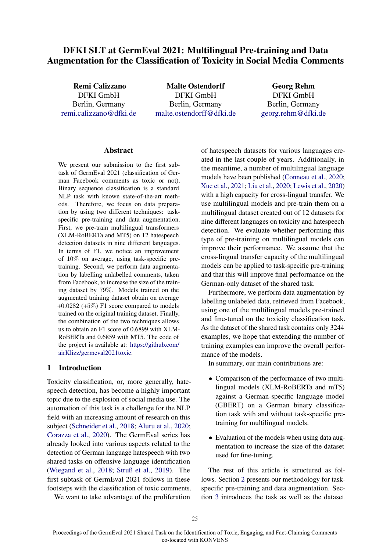# DFKI SLT at GermEval 2021: Multilingual Pre-training and Data Augmentation for the Classification of Toxicity in Social Media Comments

Remi Calizzano DFKI GmbH Berlin, Germany remi.calizzano@dfki.de

Malte Ostendorff DFKI GmbH Berlin, Germany malte.ostendorff@dfki.de

Georg Rehm DFKI GmbH Berlin, Germany georg.rehm@dfki.de

### Abstract

We present our submission to the first subtask of GermEval 2021 (classification of German Facebook comments as toxic or not). Binary sequence classification is a standard NLP task with known state-of-the-art methods. Therefore, we focus on data preparation by using two different techniques: taskspecific pre-training and data augmentation. First, we pre-train multilingual transformers (XLM-RoBERTa and MT5) on 12 hatespeech detection datasets in nine different languages. In terms of F1, we notice an improvement of 10% on average, using task-specific pretraining. Second, we perform data augmentation by labelling unlabelled comments, taken from Facebook, to increase the size of the training dataset by 79%. Models trained on the augmented training dataset obtain on average  $+0.0282$  ( $+5\%$ ) F1 score compared to models trained on the original training dataset. Finally, the combination of the two techniques allows us to obtain an F1 score of 0.6899 with XLM-RoBERTa and 0.6859 with MT5. The code of the project is available at: https://github.com/ airKlizz/germeval2021toxic.

# 1 Introduction

Toxicity classification, or, more generally, hatespeech detection, has become a highly important topic due to the explosion of social media use. The automation of this task is a challenge for the NLP field with an increasing amount of research on this subject (Schneider et al., 2018; Aluru et al., 2020; Corazza et al., 2020). The GermEval series has already looked into various aspects related to the detection of German language hatespeech with two shared tasks on offensive language identification (Wiegand et al., 2018; Struß et al., 2019). The first subtask of GermEval 2021 follows in these footsteps with the classification of toxic comments.

We want to take advantage of the proliferation

of hatespeech datasets for various languages created in the last couple of years. Additionally, in the meantime, a number of multilingual language models have been published (Conneau et al., 2020; Xue et al., 2021; Liu et al., 2020; Lewis et al., 2020) with a high capacity for cross-lingual transfer. We use multilingual models and pre-train them on a multilingual dataset created out of 12 datasets for nine different languages on toxicity and hatespeech detection. We evaluate whether performing this type of pre-training on multilingual models can improve their performance. We assume that the cross-lingual transfer capacity of the multilingual models can be applied to task-specific pre-training and that this will improve final performance on the German-only dataset of the shared task.

Furthermore, we perform data augmentation by labelling unlabeled data, retrieved from Facebook, using one of the multilingual models pre-trained and fine-tuned on the toxicity classification task. As the dataset of the shared task contains only 3244 examples, we hope that extending the number of training examples can improve the overall performance of the models.

In summary, our main contributions are:

- Comparison of the performance of two multilingual models (XLM-RoBERTa and mT5) against a German-specific language model (GBERT) on a German binary classification task with and without task-specific pretraining for multilingual models.
- Evaluation of the models when using data augmentation to increase the size of the dataset used for fine-tuning.

The rest of this article is structured as follows. Section 2 presents our methodology for taskspecific pre-training and data augmentation. Section 3 introduces the task as well as the dataset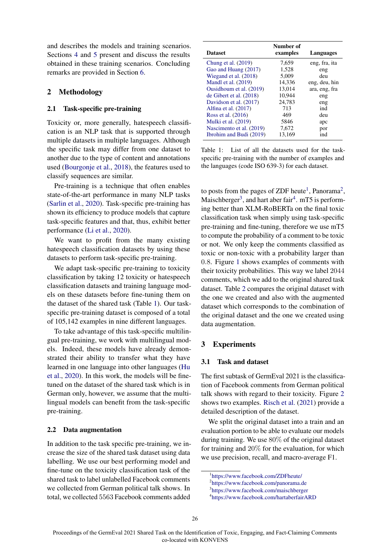and describes the models and training scenarios. Sections 4 and 5 present and discuss the results obtained in these training scenarios. Concluding remarks are provided in Section 6.

### 2 Methodology

### 2.1 Task-specific pre-training

Toxicity or, more generally, hatespeech classification is an NLP task that is supported through multiple datasets in multiple languages. Although the specific task may differ from one dataset to another due to the type of content and annotations used (Bourgonje et al., 2018), the features used to classify sequences are similar.

Pre-training is a technique that often enables state-of-the-art performance in many NLP tasks (Sarlin et al., 2020). Task-specific pre-training has shown its efficiency to produce models that capture task-specific features and that, thus, exhibit better performance (Li et al., 2020).

We want to profit from the many existing hatespeech classification datasets by using these datasets to perform task-specific pre-training.

We adapt task-specific pre-training to toxicity classification by taking 12 toxicity or hatespeech classification datasets and training language models on these datasets before fine-tuning them on the dataset of the shared task (Table 1). Our taskspecific pre-training dataset is composed of a total of 105,142 examples in nine different languages.

To take advantage of this task-specific multilingual pre-training, we work with multilingual models. Indeed, these models have already demonstrated their ability to transfer what they have learned in one language into other languages (Hu et al., 2020). In this work, the models will be finetuned on the dataset of the shared task which is in German only, however, we assume that the multilingual models can benefit from the task-specific pre-training.

### 2.2 Data augmentation

In addition to the task specific pre-training, we increase the size of the shared task dataset using data labelling. We use our best performing model and fine-tune on the toxicity classification task of the shared task to label unlabelled Facebook comments we collected from German political talk shows. In total, we collected 5563 Facebook comments added

| <b>Dataset</b>           | Number of<br>examples | Languages     |
|--------------------------|-----------------------|---------------|
| Chung et al. (2019)      | 7,659                 | eng, fra, ita |
| Gao and Huang (2017)     | 1,528                 | eng           |
| Wiegand et al. (2018)    | 5.009                 | deu           |
| Mandl et al. $(2019)$    | 14,336                | eng, deu, hin |
| Ousidhoum et al. (2019)  | 13.014                | ara, eng, fra |
| de Gibert et al. (2018)  | 10.944                | eng           |
| Davidson et al. (2017)   | 24.783                | eng           |
| Alfina et al. (2017)     | 713                   | ind           |
| Ross et al. (2016)       | 469                   | deu           |
| Mulki et al. (2019)      | 5846                  | apc           |
| Nascimento et al. (2019) | 7,672                 | por           |
| Ibrohim and Budi (2019)  | 13,169                | ind           |

Table 1: List of all the datasets used for the taskspecific pre-training with the number of examples and the languages (code ISO 639-3) for each dataset.

to posts from the pages of ZDF heute<sup>1</sup>, Panorama<sup>2</sup>, Maischberger<sup>3</sup>, and hart aber fair<sup>4</sup>. mT5 is performing better than XLM-RoBERTa on the final toxic classification task when simply using task-specific pre-training and fine-tuning, therefore we use mT5 to compute the probability of a comment to be toxic or not. We only keep the comments classified as toxic or non-toxic with a probability larger than 0.8. Figure 1 shows examples of comments with their toxicity probabilities. This way we label 2044 comments, which we add to the original shared task dataset. Table 2 compares the original dataset with the one we created and also with the augmented dataset which corresponds to the combination of the original dataset and the one we created using data augmentation.

### 3 Experiments

#### 3.1 Task and dataset

The first subtask of GermEval 2021 is the classification of Facebook comments from German political talk shows with regard to their toxicity. Figure 2 shows two examples. Risch et al. (2021) provide a detailed description of the dataset.

We split the original dataset into a train and an evaluation portion to be able to evaluate our models during training. We use 80% of the original dataset for training and 20% for the evaluation, for which we use precision, recall, and macro-average F1.

<sup>1</sup> https://www.facebook.com/ZDFheute/

<sup>2</sup> https://www.facebook.com/panorama.de

<sup>3</sup> https://www.facebook.com/maischberger

<sup>4</sup> https://www.facebook.com/hartaberfairARD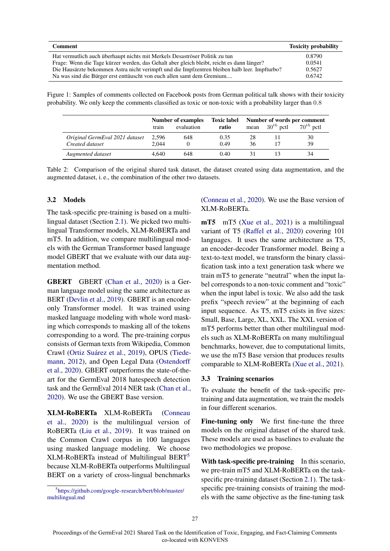| Comment                                                                                       | <b>Toxicity probability</b> |
|-----------------------------------------------------------------------------------------------|-----------------------------|
| Hat vermutlich auch überhaupt nichts mit Merkels Desaströser Politik zu tun                   | 0.8790                      |
| Frage: Wenn die Tage kürzer werden, das Gehalt aber gleich bleibt, reicht es dann länger?     | 0.0541                      |
| Die Hausärzte bekommen Astra nicht verimpft und die Impfzentren bleiben halb leer. Impfturbo? | 0.5627                      |
| Na was sind die Bürger erst enttäuscht von euch allen samt dem Gremium                        | 0.6742                      |

Figure 1: Samples of comments collected on Facebook posts from German political talk shows with their toxicity probability. We only keep the comments classified as toxic or non-toxic with a probability larger than 0.8

|                                                   | train          | Number of examples<br>evaluation | Toxic label Number of words per comment<br>ratio | mean     | $30^{th}$ pctl | $70^{th}$ pctl |
|---------------------------------------------------|----------------|----------------------------------|--------------------------------------------------|----------|----------------|----------------|
| Original GermEval 2021 dataset<br>Created dataset | 2.596<br>2.044 | 648                              | 0.35<br>0.49                                     | 28<br>36 |                | 30<br>39       |
| Augmented dataset                                 | 4.640          | 648                              | 0.40                                             |          |                | 34             |

Table 2: Comparison of the original shared task dataset, the dataset created using data augmentation, and the augmented dataset, i. e., the combination of the other two datasets.

### 3.2 Models

The task-specific pre-training is based on a multilingual dataset (Section 2.1). We picked two multilingual Transformer models, XLM-RoBERTa and mT5. In addition, we compare multilingual models with the German Transformer based language model GBERT that we evaluate with our data augmentation method.

GBERT GBERT (Chan et al., 2020) is a German language model using the same architecture as BERT (Devlin et al., 2019). GBERT is an encoderonly Transformer model. It was trained using masked language modeling with whole word masking which corresponds to masking all of the tokens corresponding to a word. The pre-training corpus consists of German texts from Wikipedia, Common Crawl (Ortiz Suárez et al., 2019), OPUS (Tiedemann, 2012), and Open Legal Data (Ostendorff et al., 2020). GBERT outperforms the state-of-theart for the GermEval 2018 hatespeech detection task and the GermEval 2014 NER task (Chan et al., 2020). We use the GBERT Base version.

XLM-RoBERTa XLM-RoBERTa (Conneau et al., 2020) is the multilingual version of RoBERTa (Liu et al., 2019). It was trained on the Common Crawl corpus in 100 languages using masked language modeling. We choose XLM-RoBERTa instead of Multilingual BERT<sup>5</sup> because XLM-RoBERTa outperforms Multilingual BERT on a variety of cross-lingual benchmarks

(Conneau et al., 2020). We use the Base version of XLM-RoBERTa.

mT5 mT5 (Xue et al., 2021) is a multilingual variant of T5 (Raffel et al., 2020) covering 101 languages. It uses the same architecture as T5, an encoder-decoder Transformer model. Being a text-to-text model, we transform the binary classification task into a text generation task where we train mT5 to generate "neutral" when the input label corresponds to a non-toxic comment and "toxic" when the input label is toxic. We also add the task prefix "speech review" at the beginning of each input sequence. As T5, mT5 exists in five sizes: Small, Base, Large, XL, XXL. The XXL version of mT5 performs better than other multilingual models such as XLM-RoBERTa on many multilingual benchmarks, however, due to computational limits, we use the mT5 Base version that produces results comparable to XLM-RoBERTa (Xue et al., 2021).

### 3.3 Training scenarios

To evaluate the benefit of the task-specific pretraining and data augmentation, we train the models in four different scenarios.

Fine-tuning only We first fine-tune the three models on the original dataset of the shared task. These models are used as baselines to evaluate the two methodologies we propose.

With task-specific pre-training In this scenario, we pre-train mT5 and XLM-RoBERTa on the taskspecific pre-training dataset (Section 2.1). The taskspecific pre-training consists of training the models with the same objective as the fine-tuning task

<sup>5</sup> https://github.com/google-research/bert/blob/master/ multilingual.md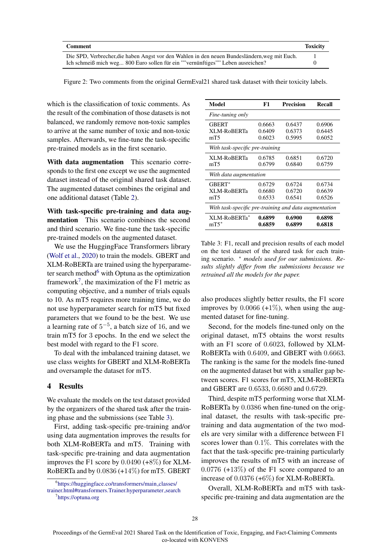| Comment                                                                                       | <b>Toxicity</b> |  |
|-----------------------------------------------------------------------------------------------|-----------------|--|
| Die SPD, Verbrecher, die haben Angst vor den Wahlen in den neuen Bundesländern, weg mit Euch. |                 |  |
| Ich schmeiß mich weg 800 Euro sollen für ein ""vernünftiges"" Leben ausreichen?               |                 |  |

Figure 2: Two comments from the original GermEval21 shared task dataset with their toxicity labels.

which is the classification of toxic comments. As the result of the combination of those datasets is not balanced, we randomly remove non-toxic samples to arrive at the same number of toxic and non-toxic samples. Afterwards, we fine-tune the task-specific pre-trained models as in the first scenario.

With data augmentation This scenario corresponds to the first one except we use the augmented dataset instead of the original shared task dataset. The augmented dataset combines the original and one additional dataset (Table 2).

With task-specific pre-training and data augmentation This scenario combines the second and third scenario. We fine-tune the task-specific pre-trained models on the augmented dataset.

We use the HuggingFace Transformers library (Wolf et al., 2020) to train the models. GBERT and XLM-RoBERTa are trained using the hyperparameter search method $6$  with Optuna as the optimization framework<sup>7</sup>, the maximization of the F1 metric as computing objective, and a number of trials equals to 10. As mT5 requires more training time, we do not use hyperparameter search for mT5 but fixed parameters that we found to be the best. We use a learning rate of  $5^{-5}$ , a batch size of 16, and we train mT5 for 3 epochs. In the end we select the best model with regard to the F1 score.

To deal with the imbalanced training dataset, we use class weights for GBERT and XLM-RoBERTa and oversample the dataset for mT5.

# 4 Results

We evaluate the models on the test dataset provided by the organizers of the shared task after the training phase and the submissions (see Table 3).

First, adding task-specific pre-training and/or using data augmentation improves the results for both XLM-RoBERTa and mT5. Training with task-specific pre-training and data augmentation improves the F1 score by  $0.0490$  (+8%) for XLM-RoBERTa and by 0.0836 (+14%) for mT5. GBERT

6 https://huggingface.co/transformers/main classes/ trainer.html#transformers.Trainer.hyperparameter search 7 https://optuna.org

| Model                                                 | F1     | <b>Precision</b> | Recall |  |  |  |
|-------------------------------------------------------|--------|------------------|--------|--|--|--|
| Fine-tuning only                                      |        |                  |        |  |  |  |
| <b>GBERT</b>                                          | 0.6663 | 0.6437           | 0.6906 |  |  |  |
| <b>XLM-RoBERTa</b>                                    | 0.6409 | 0.6373           | 0.6445 |  |  |  |
| mT <sub>5</sub>                                       | 0.6023 | 0.5995           | 0.6052 |  |  |  |
| With task-specific pre-training                       |        |                  |        |  |  |  |
| XLM-RoBERTa                                           | 0.6785 | 0.6851           | 0.6720 |  |  |  |
| mT <sub>5</sub>                                       | 0.6799 | 0.6840           | 0.6759 |  |  |  |
| With data augmentation                                |        |                  |        |  |  |  |
| GBERT*                                                | 0.6729 | 0.6724           | 0.6734 |  |  |  |
| <b>XLM-RoBERTa</b>                                    | 0.6680 | 0.6720           | 0.6639 |  |  |  |
| mT <sub>5</sub>                                       | 0.6533 | 0.6541           | 0.6526 |  |  |  |
| With task-specific pre-training and data augmentation |        |                  |        |  |  |  |
| XLM-RoBERTa*                                          | 0.6899 | 0.6900           | 0.6898 |  |  |  |
| $mT5*$                                                | 0.6859 | 0.6899           | 0.6818 |  |  |  |

Table 3: F1, recall and precision results of each model on the test dataset of the shared task for each training scenario. <sup>∗</sup> *models used for our submissions. Results slightly differ from the submissions because we retrained all the models for the paper.*

also produces slightly better results, the F1 score improves by  $0.0066$  (+1%), when using the augmented dataset for fine-tuning.

Second, for the models fine-tuned only on the original dataset, mT5 obtains the worst results with an F1 score of 0.6023, followed by XLM-RoBERTa with 0.6409, and GBERT with 0.6663. The ranking is the same for the models fine-tuned on the augmented dataset but with a smaller gap between scores. F1 scores for mT5, XLM-RoBERTa and GBERT are 0.6533, 0.6680 and 0.6729.

Third, despite mT5 performing worse that XLM-RoBERTa by 0.0386 when fine-tuned on the original dataset, the results with task-specific pretraining and data augmentation of the two models are very similar with a difference between F1 scores lower than 0.1%. This correlates with the fact that the task-specific pre-training particularly improves the results of mT5 with an increase of  $0.0776$  (+13%) of the F1 score compared to an increase of 0.0376 (+6%) for XLM-RoBERTa.

Overall, XLM-RoBERTa and mT5 with taskspecific pre-training and data augmentation are the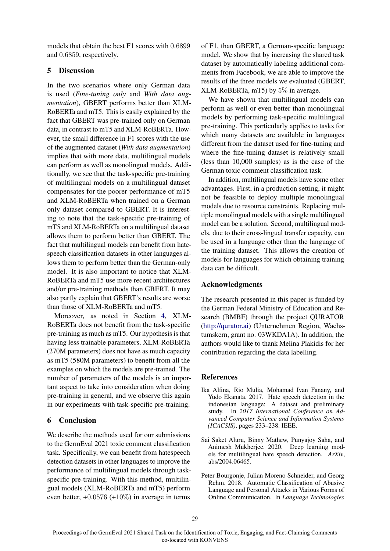models that obtain the best F1 scores with 0.6899 and 0.6859, respectively.

### 5 Discussion

In the two scenarios where only German data is used (*Fine-tuning only* and *With data augmentation*), GBERT performs better than XLM-RoBERTa and mT5. This is easily explained by the fact that GBERT was pre-trained only on German data, in contrast to mT5 and XLM-RoBERTa. However, the small difference in F1 scores with the use of the augmented dataset (*With data augmentation*) implies that with more data, multilingual models can perform as well as monolingual models. Additionally, we see that the task-specific pre-training of multilingual models on a multilingual dataset compensates for the poorer performance of mT5 and XLM-RoBERTa when trained on a German only dataset compared to GBERT. It is interesting to note that the task-specific pre-training of mT5 and XLM-RoBERTa on a multilingual dataset allows them to perform better than GBERT. The fact that multilingual models can benefit from hatespeech classification datasets in other languages allows them to perform better than the German-only model. It is also important to notice that XLM-RoBERTa and mT5 use more recent architectures and/or pre-training methods than GBERT. It may also partly explain that GBERT's results are worse than those of XLM-RoBERTa and mT5.

Moreover, as noted in Section 4, XLM-RoBERTa does not benefit from the task-specific pre-training as much as mT5. Our hypothesis is that having less trainable parameters, XLM-RoBERTa (270M parameters) does not have as much capacity as mT5 (580M parameters) to benefit from all the examples on which the models are pre-trained. The number of parameters of the models is an important aspect to take into consideration when doing pre-training in general, and we observe this again in our experiments with task-specific pre-training.

### 6 Conclusion

We describe the methods used for our submissions to the GermEval 2021 toxic comment classification task. Specifically, we can benefit from hatespeech detection datasets in other languages to improve the performance of multilingual models through taskspecific pre-training. With this method, multilingual models (XLM-RoBERTa and mT5) perform even better,  $+0.0576 (+10\%)$  in average in terms

of F1, than GBERT, a German-specific language model. We show that by increasing the shared task dataset by automatically labeling additional comments from Facebook, we are able to improve the results of the three models we evaluated (GBERT, XLM-RoBERTa, mT5) by 5% in average.

We have shown that multilingual models can perform as well or even better than monolingual models by performing task-specific multilingual pre-training. This particularly applies to tasks for which many datasets are available in languages different from the dataset used for fine-tuning and where the fine-tuning dataset is relatively small (less than 10,000 samples) as is the case of the German toxic comment classification task.

In addition, multilingual models have some other advantages. First, in a production setting, it might not be feasible to deploy multiple monolingual models due to resource constraints. Replacing multiple monolingual models with a single multilingual model can be a solution. Second, multilingual models, due to their cross-lingual transfer capacity, can be used in a language other than the language of the training dataset. This allows the creation of models for languages for which obtaining training data can be difficult.

### Acknowledgments

The research presented in this paper is funded by the German Federal Ministry of Education and Research (BMBF) through the project QURATOR (http://qurator.ai) (Unternehmen Region, Wachstumskern, grant no. 03WKDA1A). In addition, the authors would like to thank Melina Plakidis for her contribution regarding the data labelling.

### References

- Ika Alfina, Rio Mulia, Mohamad Ivan Fanany, and Yudo Ekanata. 2017. Hate speech detection in the indonesian language: A dataset and preliminary study. In *2017 International Conference on Advanced Computer Science and Information Systems (ICACSIS)*, pages 233–238. IEEE.
- Sai Saket Aluru, Binny Mathew, Punyajoy Saha, and Animesh Mukherjee. 2020. Deep learning models for multilingual hate speech detection. *ArXiv*, abs/2004.06465.
- Peter Bourgonje, Julian Moreno Schneider, and Georg Rehm. 2018. Automatic Classification of Abusive Language and Personal Attacks in Various Forms of Online Communication. In *Language Technologies*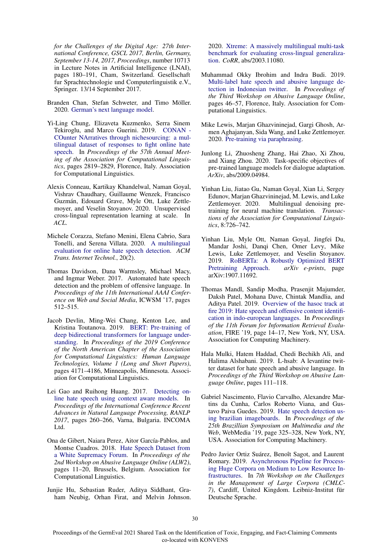*for the Challenges of the Digital Age: 27th International Conference, GSCL 2017, Berlin, Germany, September 13-14, 2017, Proceedings*, number 10713 in Lecture Notes in Artificial Intelligence (LNAI), pages 180–191, Cham, Switzerland. Gesellschaft fur Sprachtechnologie und Computerlinguistik e.V., Springer. 13/14 September 2017.

- Branden Chan, Stefan Schweter, and Timo Möller. 2020. German's next language model.
- Yi-Ling Chung, Elizaveta Kuzmenko, Serra Sinem Tekiroglu, and Marco Guerini. 2019. CONAN - COunter NArratives through nichesourcing: a multilingual dataset of responses to fight online hate speech. In *Proceedings of the 57th Annual Meeting of the Association for Computational Linguistics*, pages 2819–2829, Florence, Italy. Association for Computational Linguistics.
- Alexis Conneau, Kartikay Khandelwal, Naman Goyal, Vishrav Chaudhary, Guillaume Wenzek, Francisco Guzmán, Edouard Grave, Myle Ott, Luke Zettlemoyer, and Veselin Stoyanov. 2020. Unsupervised cross-lingual representation learning at scale. In *ACL*.
- Michele Corazza, Stefano Menini, Elena Cabrio, Sara Tonelli, and Serena Villata. 2020. A multilingual evaluation for online hate speech detection. *ACM Trans. Internet Technol.*, 20(2).
- Thomas Davidson, Dana Warmsley, Michael Macy, and Ingmar Weber. 2017. Automated hate speech detection and the problem of offensive language. In *Proceedings of the 11th International AAAI Conference on Web and Social Media*, ICWSM '17, pages 512–515.
- Jacob Devlin, Ming-Wei Chang, Kenton Lee, and Kristina Toutanova. 2019. BERT: Pre-training of deep bidirectional transformers for language understanding. In *Proceedings of the 2019 Conference of the North American Chapter of the Association for Computational Linguistics: Human Language Technologies, Volume 1 (Long and Short Papers)*, pages 4171–4186, Minneapolis, Minnesota. Association for Computational Linguistics.
- Lei Gao and Ruihong Huang. 2017. Detecting online hate speech using context aware models. In *Proceedings of the International Conference Recent Advances in Natural Language Processing, RANLP 2017*, pages 260–266, Varna, Bulgaria. INCOMA Ltd.
- Ona de Gibert, Naiara Perez, Aitor García-Pablos, and Montse Cuadros. 2018. Hate Speech Dataset from a White Supremacy Forum. In *Proceedings of the 2nd Workshop on Abusive Language Online (ALW2)*, pages 11–20, Brussels, Belgium. Association for Computational Linguistics.
- Junjie Hu, Sebastian Ruder, Aditya Siddhant, Graham Neubig, Orhan Firat, and Melvin Johnson.

2020. Xtreme: A massively multilingual multi-task benchmark for evaluating cross-lingual generalization. *CoRR*, abs/2003.11080.

- Muhammad Okky Ibrohim and Indra Budi. 2019. Multi-label hate speech and abusive language detection in Indonesian twitter. In *Proceedings of the Third Workshop on Abusive Language Online*, pages 46–57, Florence, Italy. Association for Computational Linguistics.
- Mike Lewis, Marjan Ghazvininejad, Gargi Ghosh, Armen Aghajanyan, Sida Wang, and Luke Zettlemoyer. 2020. Pre-training via paraphrasing.
- Junlong Li, Zhuosheng Zhang, Hai Zhao, Xi Zhou, and Xiang Zhou. 2020. Task-specific objectives of pre-trained language models for dialogue adaptation. *ArXiv*, abs/2009.04984.
- Yinhan Liu, Jiatao Gu, Naman Goyal, Xian Li, Sergey Edunov, Marjan Ghazvininejad, M. Lewis, and Luke Zettlemoyer. 2020. Multilingual denoising pretraining for neural machine translation. *Transactions of the Association for Computational Linguistics*, 8:726–742.
- Yinhan Liu, Myle Ott, Naman Goyal, Jingfei Du, Mandar Joshi, Danqi Chen, Omer Levy, Mike Lewis, Luke Zettlemoyer, and Veselin Stoyanov. 2019. RoBERTa: A Robustly Optimized BERT Pretraining Approach. *arXiv e-prints*, page arXiv:1907.11692.
- Thomas Mandl, Sandip Modha, Prasenjit Majumder, Daksh Patel, Mohana Dave, Chintak Mandlia, and Aditya Patel. 2019. Overview of the hasoc track at fire 2019: Hate speech and offensive content identification in indo-european languages. In *Proceedings of the 11th Forum for Information Retrieval Evaluation*, FIRE '19, page 14–17, New York, NY, USA. Association for Computing Machinery.
- Hala Mulki, Hatem Haddad, Chedi Bechikh Ali, and Halima Alshabani. 2019. L-hsab: A levantine twitter dataset for hate speech and abusive language. In *Proceedings of the Third Workshop on Abusive Language Online*, pages 111–118.
- Gabriel Nascimento, Flavio Carvalho, Alexandre Martins da Cunha, Carlos Roberto Viana, and Gustavo Paiva Guedes. 2019. Hate speech detection using brazilian imageboards. In *Proceedings of the 25th Brazillian Symposium on Multimedia and the Web*, WebMedia '19, page 325–328, New York, NY, USA. Association for Computing Machinery.
- Pedro Javier Ortiz Suárez, Benoît Sagot, and Laurent Romary. 2019. Asynchronous Pipeline for Processing Huge Corpora on Medium to Low Resource Infrastructures. In *7th Workshop on the Challenges in the Management of Large Corpora (CMLC-*7), Cardiff, United Kingdom. Leibniz-Institut für Deutsche Sprache.